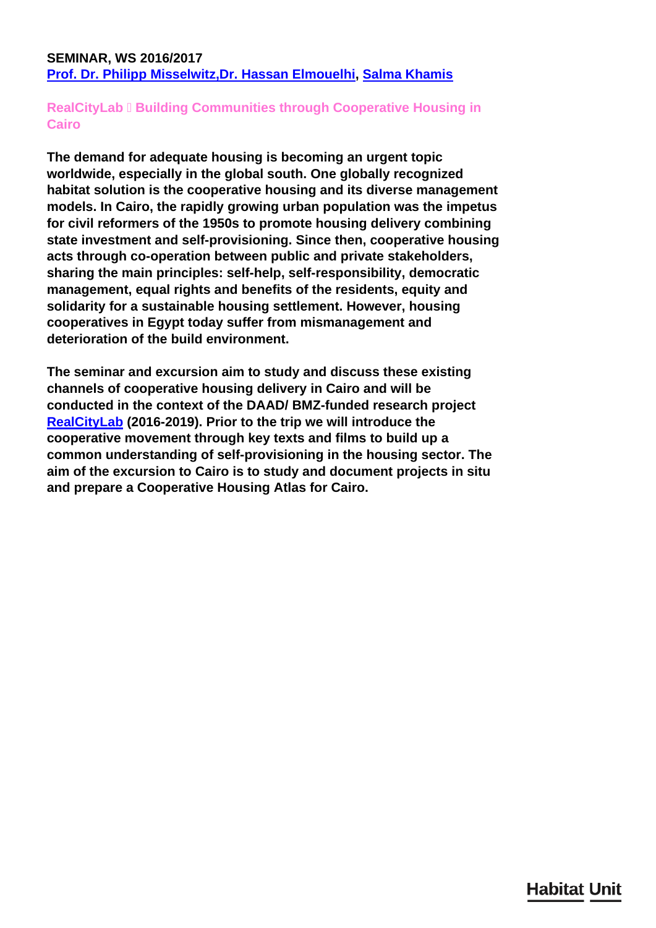### <span id="page-0-0"></span>**SEMINAR, WS 2016/2017 [Prof. Dr. Philipp Misselwitz,](http://habitat-unit.de/en/team/somaiyeh-falahat/)[Dr. Hassan Elmouelhi,](http://habitat-unit.de/en/team/hassan-elmouelhi/) [Salma Khamis](/en/team/salma-khamis/)**

## **RealCityLab □ Building Communities through Cooperative Housing in Cairo**

**The demand for adequate housing is becoming an urgent topic worldwide, especially in the global south. One globally recognized habitat solution is the cooperative housing and its diverse management models. In Cairo, the rapidly growing urban population was the impetus for civil reformers of the 1950s to promote housing delivery combining state investment and self-provisioning. Since then, cooperative housing acts through co-operation between public and private stakeholders, sharing the main principles: self-help, self-responsibility, democratic management, equal rights and benefits of the residents, equity and solidarity for a sustainable housing settlement. However, housing cooperatives in Egypt today suffer from mismanagement and deterioration of the build environment.**

**The seminar and excursion aim to study and discuss these existing channels of cooperative housing delivery in Cairo and will be conducted in the context of the DAAD/ BMZ-funded research project [RealCityLab](/en/research/realcity-lab/) (2016-2019). Prior to the trip we will introduce the cooperative movement through key texts and films to build up a common understanding of self-provisioning in the housing sector. The aim of the excursion to Cairo is to study and document projects in situ and prepare a Cooperative Housing Atlas for Cairo.**

# **Habitat Unit**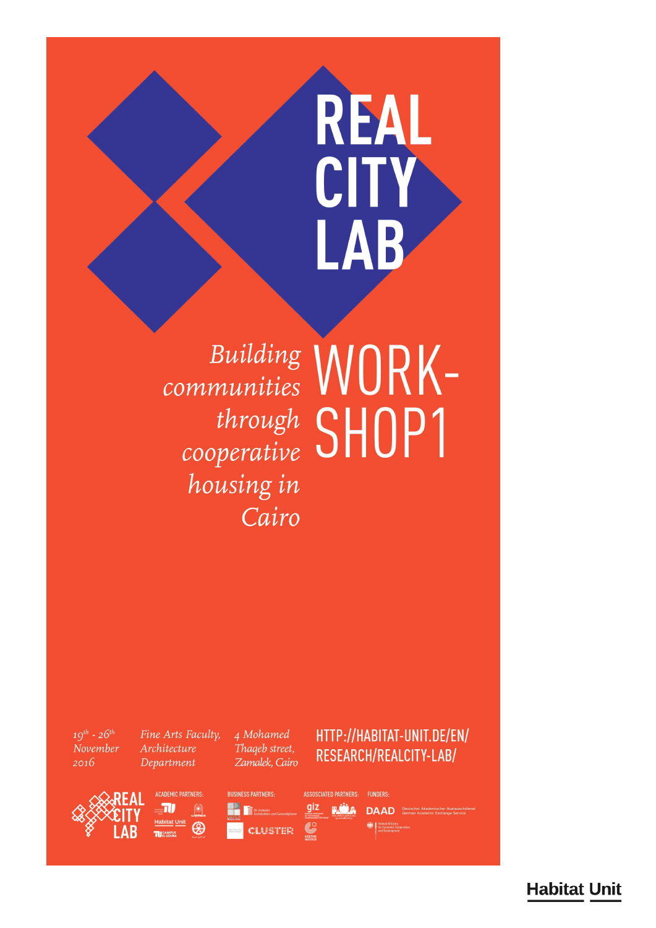# REAL CITY LAB

Building WORKthrough SHOP1 housing in Cairo

 $19^{th} - 26^{th}$ November  $2016$ 

Fine Arts Faculty, Architecture Department

4 Mohamed Thageb street, Zamalek, Cairo

# HTTP://HABITAT-UNIT.DE/EN/ RESEARCH/REALCITY-LAB/







giz

ASSOSCIATED PARTNERS: **FUNDERS-FLUDA DAAD** Beutscher Akademischer Aust Federal Ministry<br>
for Economic Coop<br>
and Development

**Habitat Unit**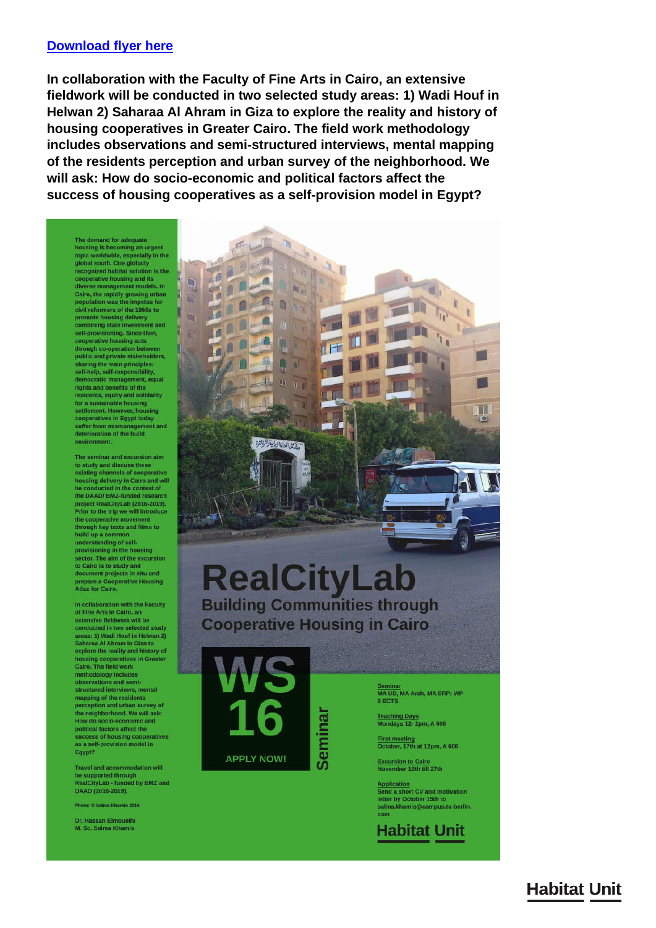#### **Download flyer here**

In collaboration with the Faculty of Fine Arts in Cairo, an extensive fieldwork will be conducted in two selected study areas: 1) Wadi Houf in Helwan 2) Saharaa Al Ahram in Giza to explore the reality and history of housing cooperatives in Greater Cairo. The field work methodology includes observations and semi-structured interviews, mental mapping of the residents perception and urban survey of the neighborhood. We will ask: How do socio-economic and political factors affect the success of housing cooperatives as a self-provision model in Egypt?

The demand for adequate housing is becoming an urgent<br>topic worldwide, especially in the<br>global south. One globally groom South Congression<br>recognized habitat solution is the<br>cooperative housing and its<br>cliverse management models. In<br>Cairo, the rapidly growing urban<br>population was the impetus for<br>civil reformers of the 1950s to<br>civil re promote housing delivery<br>combining state investment and self-provisioning. Since then,<br>cooperative housing acts through co-operation between<br>public and private stakeholders, sharing the main principles:<br>self-help, self-responsibility,<br>democratic management, equal<br>rights and benefits of the residents, equity and solidarity<br>for a sustainable housing settlement. However, housing<br>cooperatives in Egypt today suffer from mismanagement and<br>deterioration of the build environment

The seminar and excursion aim to study and discuss these existing channels of cooperative<br>housing delivery in Cairo and will<br>be conducted in the context of<br>the DAAD/ BMZ-funded research project RealCityLab (2016-2019).<br>Prior to the trip we will introduce the cooperative movement<br>through key texts and films to build up a common build up a common<br>understanding of self-<br>provisioning in the housing provisioning in the housing<br>sector. The aim of the excursion<br>to Cairo is to study and<br>document projects in situ and<br>prepare a Cooperative Housing<br>Atlas for Cairo.

In collaboration with the Faculty<br>of Fine Arts in Cairo, an<br>extensive fieldwork will be<br>conducted in two selected study<br>conducted in two selected study<br>areas: 1) Wadi Hout in Helwan 2)<br>Saharaa Al Ahram in Giza to<br>explore t housing cooperatives in Gre<br>Cairo. The field work Cairo. The field work<br>methodology includes<br>observations and semi-<br>structured interviews, mental<br>mapping of the residents<br>perception and urban survey of<br>the neighborhood. We will ask:<br>How do socio-economic and<br>success of ho Egypt?

**Travel and accommodation will** be supported through<br>RealCityLab - funded by BMZ and DAAD (2016-2019).

Photo: © Salma Khamis 2016

Dr. Hassan Elmouelh M. Sc. Salma Khamis



**APPLY NOW!** 

Semina

MA UD, MA Arch, MA SRP: WP **6 ECTS** 

Teaching Days<br>Mondays 12-2pm, A 606

First meeting<br>October, 17th at 12pm, A 606

**Excursion to Cairo<br>November 18th till 27th** 

Application<br>Send a short CV and motivation letter by October 15th to salma khamis@camnus tu herlin

**Habitat Unit** 

**Habitat Unit**